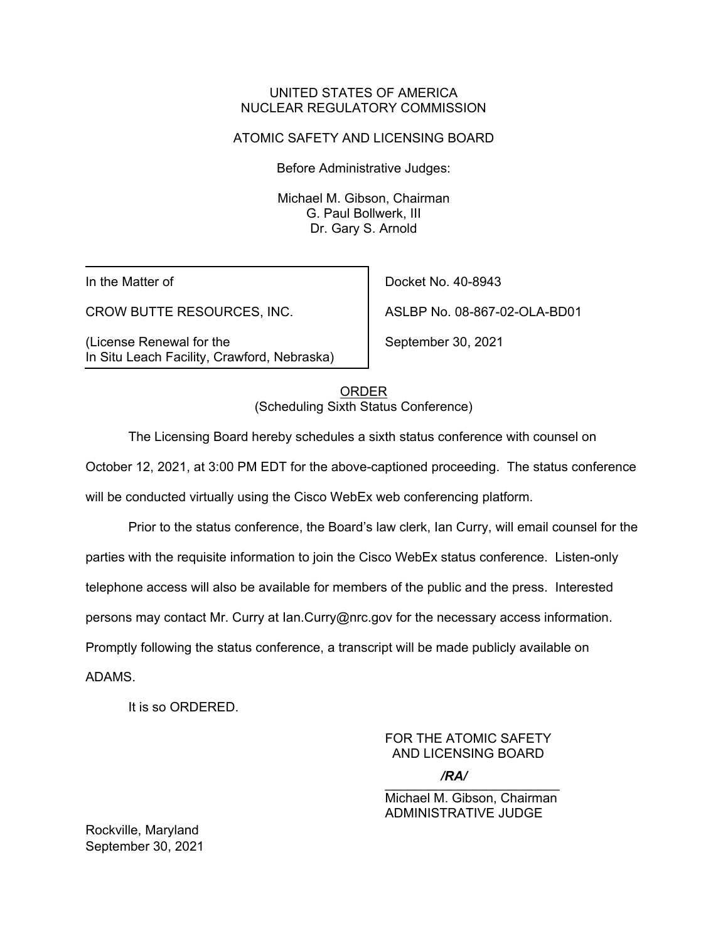### UNITED STATES OF AMERICA NUCLEAR REGULATORY COMMISSION

### ATOMIC SAFETY AND LICENSING BOARD

Before Administrative Judges:

Michael M. Gibson, Chairman G. Paul Bollwerk, III Dr. Gary S. Arnold

In the Matter of

CROW BUTTE RESOURCES, INC.

(License Renewal for the In Situ Leach Facility, Crawford, Nebraska)

Docket No. 40-8943 ASLBP No. 08-867-02-OLA-BD01

September 30, 2021

ORDER (Scheduling Sixth Status Conference)

The Licensing Board hereby schedules a sixth status conference with counsel on

October 12, 2021, at 3:00 PM EDT for the above-captioned proceeding. The status conference

will be conducted virtually using the Cisco WebEx web conferencing platform.

Prior to the status conference, the Board's law clerk, Ian Curry, will email counsel for the parties with the requisite information to join the Cisco WebEx status conference. Listen-only telephone access will also be available for members of the public and the press. Interested persons may contact Mr. Curry at Ian.Curry@nrc.gov for the necessary access information.

Promptly following the status conference, a transcript will be made publicly available on

ADAMS.

It is so ORDERED.

FOR THE ATOMIC SAFETY AND LICENSING BOARD

 $\sqrt{N}$ */RA/*

Michael M. Gibson, Chairman ADMINISTRATIVE JUDGE

Rockville, Maryland September 30, 2021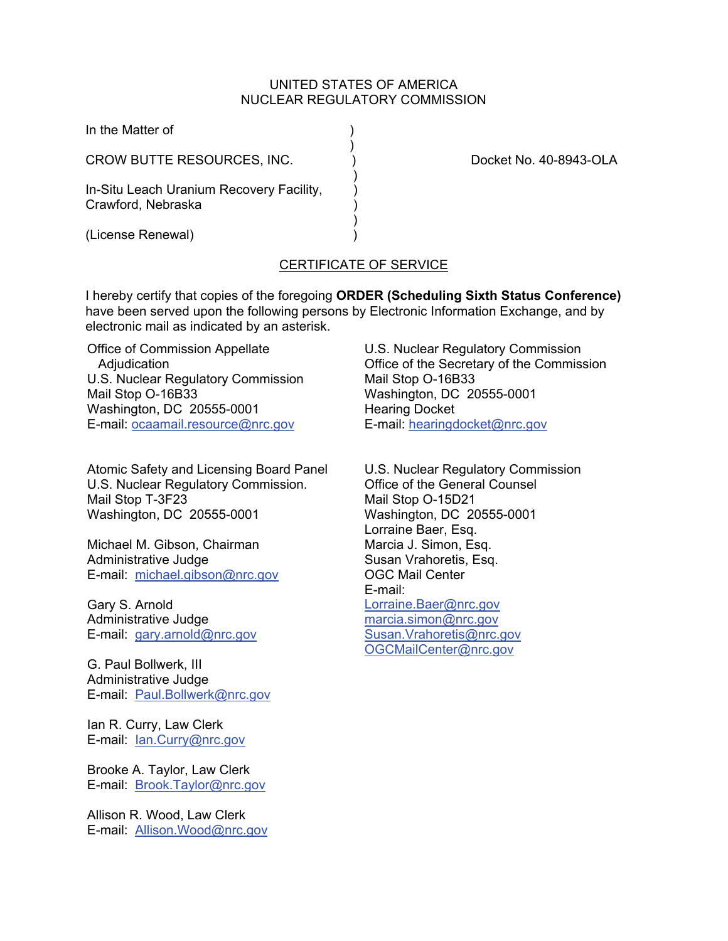#### UNITED STATES OF AMERICA NUCLEAR REGULATORY COMMISSION

| In the Matter of                                               |                        |
|----------------------------------------------------------------|------------------------|
| CROW BUTTE RESOURCES, INC.                                     | Docket No. 40-8943-OLA |
| In-Situ Leach Uranium Recovery Facility,<br>Crawford, Nebraska |                        |
| (License Renewal)                                              |                        |

# CERTIFICATE OF SERVICE

I hereby certify that copies of the foregoing **ORDER (Scheduling Sixth Status Conference)** have been served upon the following persons by Electronic Information Exchange, and by electronic mail as indicated by an asterisk.

Office of Commission Appellate Adjudication U.S. Nuclear Regulatory Commission Mail Stop O-16B33 Washington, DC 20555-0001 E-mail: ocaamail.resource@nrc.gov

Atomic Safety and Licensing Board Panel U.S. Nuclear Regulatory Commission. Mail Stop T-3F23 Washington, DC 20555-0001

Michael M. Gibson, Chairman Administrative Judge E-mail: michael.gibson@nrc.gov

Gary S. Arnold Administrative Judge E-mail: gary.arnold@nrc.gov

G. Paul Bollwerk, III Administrative Judge E-mail: Paul.Bollwerk@nrc.gov

Ian R. Curry, Law Clerk E-mail: Ian.Curry@nrc.gov

Brooke A. Taylor, Law Clerk E-mail: Brook.Taylor@nrc.gov

Allison R. Wood, Law Clerk E-mail: Allison.Wood@nrc.gov U.S. Nuclear Regulatory Commission Office of the Secretary of the Commission Mail Stop O-16B33 Washington, DC 20555-0001 Hearing Docket E-mail: hearingdocket@nrc.gov

U.S. Nuclear Regulatory Commission Office of the General Counsel Mail Stop O-15D21 Washington, DC 20555-0001 Lorraine Baer, Esq. Marcia J. Simon, Esq. Susan Vrahoretis, Esq. OGC Mail Center E-mail: Lorraine.Baer@nrc.gov marcia.simon@nrc.gov Susan.Vrahoretis@nrc.gov OGCMailCenter@nrc.gov